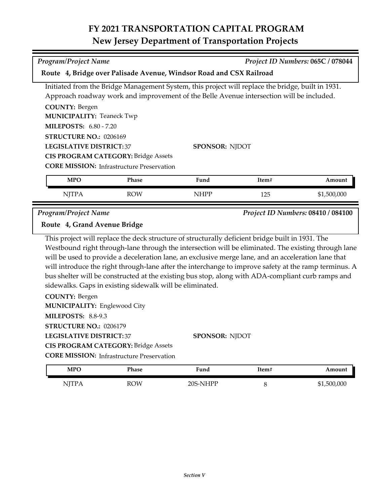## **FY 2021 TRANSPORTATION CAPITAL PROGRAM New Jersey Department of Transportation Projects**

| <b>Program/Project Name</b>                                                           |                                                                                                |                                                                                                                                                                                                                                                                                                                                                                                                                                                                                                                              |         | Project ID Numbers: 065C / 078044  |
|---------------------------------------------------------------------------------------|------------------------------------------------------------------------------------------------|------------------------------------------------------------------------------------------------------------------------------------------------------------------------------------------------------------------------------------------------------------------------------------------------------------------------------------------------------------------------------------------------------------------------------------------------------------------------------------------------------------------------------|---------|------------------------------------|
|                                                                                       |                                                                                                | Route 4, Bridge over Palisade Avenue, Windsor Road and CSX Railroad                                                                                                                                                                                                                                                                                                                                                                                                                                                          |         |                                    |
|                                                                                       |                                                                                                | Initiated from the Bridge Management System, this project will replace the bridge, built in 1931.                                                                                                                                                                                                                                                                                                                                                                                                                            |         |                                    |
|                                                                                       |                                                                                                | Approach roadway work and improvement of the Belle Avenue intersection will be included.                                                                                                                                                                                                                                                                                                                                                                                                                                     |         |                                    |
| <b>COUNTY: Bergen</b>                                                                 |                                                                                                |                                                                                                                                                                                                                                                                                                                                                                                                                                                                                                                              |         |                                    |
| <b>MUNICIPALITY: Teaneck Twp</b>                                                      |                                                                                                |                                                                                                                                                                                                                                                                                                                                                                                                                                                                                                                              |         |                                    |
| <b>MILEPOSTS: 6.80 - 7.20</b>                                                         |                                                                                                |                                                                                                                                                                                                                                                                                                                                                                                                                                                                                                                              |         |                                    |
| STRUCTURE NO.: 0206169                                                                |                                                                                                |                                                                                                                                                                                                                                                                                                                                                                                                                                                                                                                              |         |                                    |
| <b>LEGISLATIVE DISTRICT:37</b>                                                        |                                                                                                | <b>SPONSOR: NJDOT</b>                                                                                                                                                                                                                                                                                                                                                                                                                                                                                                        |         |                                    |
|                                                                                       | <b>CIS PROGRAM CATEGORY: Bridge Assets</b>                                                     |                                                                                                                                                                                                                                                                                                                                                                                                                                                                                                                              |         |                                    |
|                                                                                       | <b>CORE MISSION:</b> Infrastructure Preservation                                               |                                                                                                                                                                                                                                                                                                                                                                                                                                                                                                                              |         |                                    |
| <b>MPO</b>                                                                            | Phase                                                                                          | Fund                                                                                                                                                                                                                                                                                                                                                                                                                                                                                                                         | Item#   | Amount                             |
| <b>NJTPA</b>                                                                          | <b>ROW</b>                                                                                     | <b>NHPP</b>                                                                                                                                                                                                                                                                                                                                                                                                                                                                                                                  | 125     | \$1,500,000                        |
| <b>Program/Project Name</b>                                                           |                                                                                                |                                                                                                                                                                                                                                                                                                                                                                                                                                                                                                                              |         | Project ID Numbers: 08410 / 084100 |
| Route 4, Grand Avenue Bridge                                                          |                                                                                                |                                                                                                                                                                                                                                                                                                                                                                                                                                                                                                                              |         |                                    |
| <b>COUNTY: Bergen</b><br><b>MUNICIPALITY: Englewood City</b>                          | sidewalks. Gaps in existing sidewalk will be eliminated.                                       | This project will replace the deck structure of structurally deficient bridge built in 1931. The<br>Westbound right through-lane through the intersection will be eliminated. The existing through lane<br>will be used to provide a deceleration lane, an exclusive merge lane, and an acceleration lane that<br>will introduce the right through-lane after the interchange to improve safety at the ramp terminus. A<br>bus shelter will be constructed at the existing bus stop, along with ADA-compliant curb ramps and |         |                                    |
| <b>MILEPOSTS: 8.8-9.3</b><br>STRUCTURE NO.: 0206179<br><b>LEGISLATIVE DISTRICT:37</b> | <b>CIS PROGRAM CATEGORY: Bridge Assets</b><br><b>CORE MISSION:</b> Infrastructure Preservation | SPONSOR: NJDOT                                                                                                                                                                                                                                                                                                                                                                                                                                                                                                               |         |                                    |
| <b>MPO</b>                                                                            | Phase                                                                                          | Fund                                                                                                                                                                                                                                                                                                                                                                                                                                                                                                                         | Item#   | Amount                             |
| <b>NJTPA</b>                                                                          | <b>ROW</b>                                                                                     | 20S-NHPP                                                                                                                                                                                                                                                                                                                                                                                                                                                                                                                     | $\,8\,$ | \$1,500,000                        |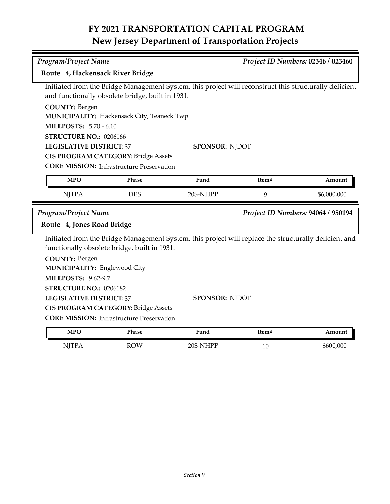## **FY 2021 TRANSPORTATION CAPITAL PROGRAM New Jersey Department of Transportation Projects**

| Program/Project Name                                         |                                                                                                                                                            |                       |       | Project ID Numbers: 02346 / 023460 |
|--------------------------------------------------------------|------------------------------------------------------------------------------------------------------------------------------------------------------------|-----------------------|-------|------------------------------------|
| Route 4, Hackensack River Bridge                             |                                                                                                                                                            |                       |       |                                    |
|                                                              | Initiated from the Bridge Management System, this project will reconstruct this structurally deficient<br>and functionally obsolete bridge, built in 1931. |                       |       |                                    |
| <b>COUNTY: Bergen</b>                                        |                                                                                                                                                            |                       |       |                                    |
|                                                              | MUNICIPALITY: Hackensack City, Teaneck Twp                                                                                                                 |                       |       |                                    |
| <b>MILEPOSTS: 5.70 - 6.10</b>                                |                                                                                                                                                            |                       |       |                                    |
| STRUCTURE NO.: 0206166                                       |                                                                                                                                                            |                       |       |                                    |
| <b>LEGISLATIVE DISTRICT:37</b>                               |                                                                                                                                                            | <b>SPONSOR: NJDOT</b> |       |                                    |
|                                                              | <b>CIS PROGRAM CATEGORY: Bridge Assets</b>                                                                                                                 |                       |       |                                    |
|                                                              | <b>CORE MISSION:</b> Infrastructure Preservation                                                                                                           |                       |       |                                    |
| <b>MPO</b>                                                   | Phase                                                                                                                                                      | Fund                  | Item# | Amount                             |
| <b>NJTPA</b>                                                 | <b>DES</b>                                                                                                                                                 | 20S-NHPP              | 9     | \$6,000,000                        |
| Program/Project Name                                         |                                                                                                                                                            |                       |       | Project ID Numbers: 94064 / 950194 |
| Route 4, Jones Road Bridge                                   |                                                                                                                                                            |                       |       |                                    |
|                                                              | Initiated from the Bridge Management System, this project will replace the structurally deficient and<br>functionally obsolete bridge, built in 1931.      |                       |       |                                    |
| <b>COUNTY: Bergen</b><br><b>MUNICIPALITY: Englewood City</b> |                                                                                                                                                            |                       |       |                                    |
| <b>MILEPOSTS: 9.62-9.7</b>                                   |                                                                                                                                                            |                       |       |                                    |
| STRUCTURE NO.: 0206182                                       |                                                                                                                                                            |                       |       |                                    |
| <b>LEGISLATIVE DISTRICT: 37</b>                              |                                                                                                                                                            | <b>SPONSOR: NJDOT</b> |       |                                    |
|                                                              | <b>CIS PROGRAM CATEGORY: Bridge Assets</b>                                                                                                                 |                       |       |                                    |
|                                                              | <b>CORE MISSION:</b> Infrastructure Preservation                                                                                                           |                       |       |                                    |
| <b>MPO</b>                                                   | <b>Phase</b>                                                                                                                                               | Fund                  | Item# | Amount                             |

| <b>MPO</b>   | Phase      | Fund     | Item# | Amount    |
|--------------|------------|----------|-------|-----------|
| <b>NJTPA</b> | <b>ROW</b> | 20S-NHPP | 10    | \$600,000 |